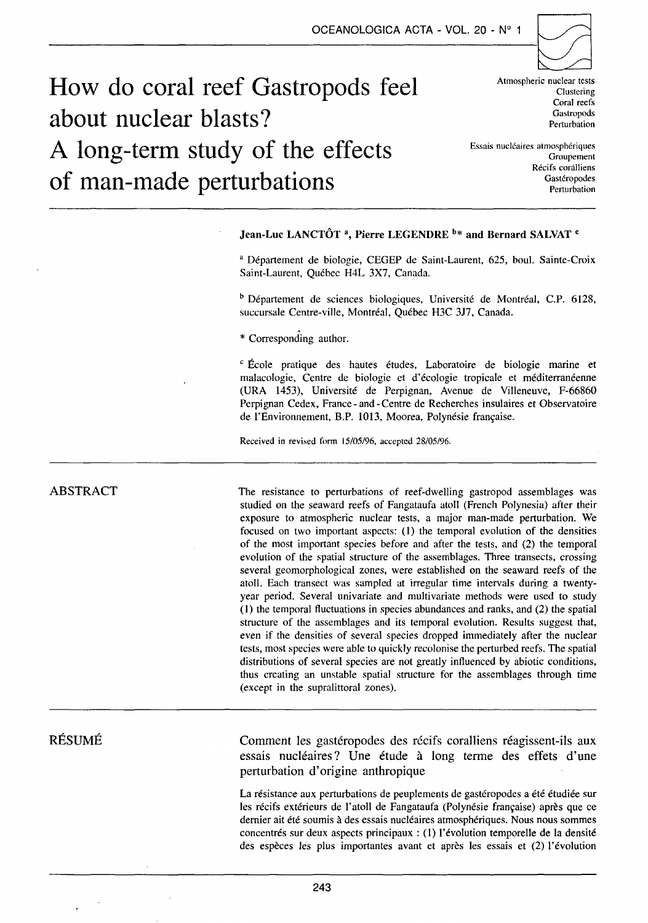

Groupement Récifs coralliens **Gastéropodes** Perturbation

**How do coral reef Gastropods feel about nuclear blasts? A long-term study of the effects of man-made perturbations** 

Atmospheric nuclear tests Clustering Coral reefs **Gastropods** Perturbation

Essais nucléaires atmosphériques

# Jean-Luc LANCTÔT<sup>a</sup>, Pierre LEGENDRE<sup>b\*</sup> and Bernard SALVAT<sup>c</sup>

a Département de biologie, CEGEP de Saint-Laurent, 625, bou!. Sainte-Croix Saint-Laurent, Québec H4L 3X7, Canada.

<sup>b</sup> Département de sciences biologiques, Université de Montréal, C.P. 6128, succursale Centre-ville, Montréal, Québec H3C *317,* Canada.

\* Corresponding author.

c École pratique des hautes études, Laboratoire de biologie marine et malacologie, Centre de biologie et d'écologie tropicale et méditerranéenne (URA 1453), Université de Perpignan, Avenue de Villeneuve, F-66860 Perpignan Cedex, France- and- Centre de Recherches insulaires et Observatoire de l'Environnement, B.P. 1013, Moorea, Polynésie française.

Received in revised form 15/05/96, accepted 28/05/96.

The resistance to perturbations of reef-dwelling gastropod assemblages was studied on the seaward reefs of Fangataufa atoll (French Polynesia) after their exposure to atmospheric nuclear tests, a major man-made perturbation. We focused on two important aspects: ( 1) the temporal evolution of the densities of the most important species before and after the tests, and (2) the temporal evolution of the spatial structure of the assemblages. Three transects, crossing severa! geomorphological zones, were established on the seaward reefs of the atoll. Each transect was sampled at irregular time intervals during a twentyyear period. Several univariate and multivariate methods were used to study ( 1) the temporal fluctuations in species abundances and ranks, and (2) the spatial structure of the assemblages and its temporal evolution. Results suggest that, even if the densities of several species dropped immediately after the nuclear tests, most species were able to quickly recolonise the perturbed reefs. The spatial distributions of several species are not greatly influenced by abiotic conditions, thus creating an unstable spatial structure for the assemblages through time (except in the supralittoral zones).

# RÉSUMÉ

ABSTRACT

Comment les gastéropodes des récifs coralliens réagissent-ils aux essais nucléaires? Une étude à long terme des effets d'une perturbation d'origine anthropique

La résistance aux perturbations de peuplements de gastéropodes a été étudiée sur les récifs extérieurs de l'atoll de Fangataufa (Polynésie française) après que ce dernier ait été soumis à des essais nucléaires atmosphériques. Nous nous sommes concentrés sur deux aspects principaux : (l) l'évolution temporelle de la densité des espèces les plus importantes avant et après les essais et (2) l'évolution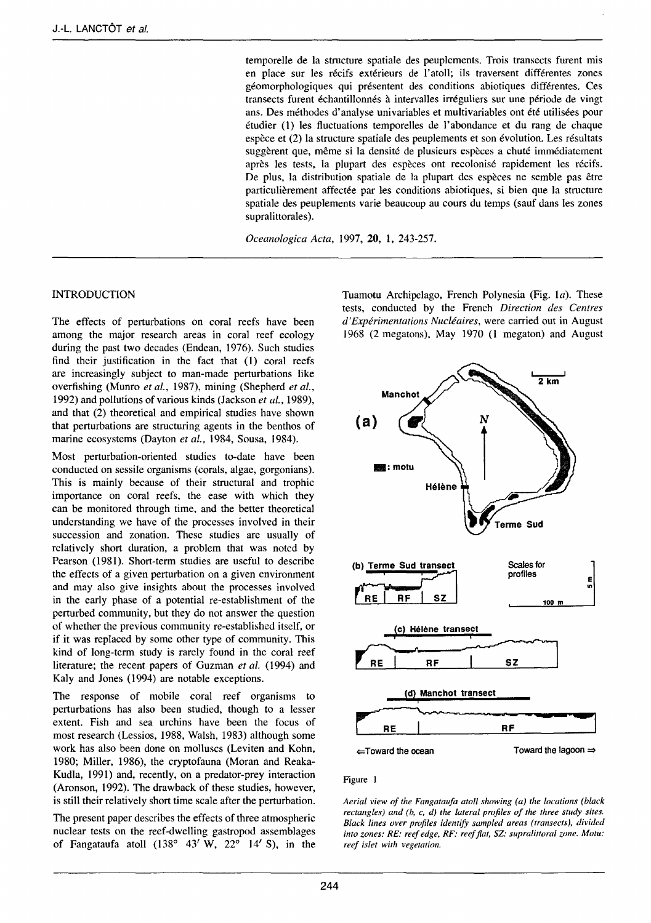temporelle de la structure spatiale des peuplements. Trois transects furent mis en place sur les récifs extérieurs de l'atoll; ils traversent différentes zones géomorphologiques qui présentent des conditions abiotiques différentes. Ces transects furent échantillonnés à intervalles irréguliers sur une période de vingt ans. Des méthodes d'analyse univariables et multivariables ont été utilisées pour étudier (1) les fluctuations temporelles de l'abondance et du rang de chaque espèce et (2) la structure spatiale des peuplements et son évolution. Les résultats suggèrent que, même si la densité de plusieurs espèces a chuté immédiatement après les tests, la plupart des espèces ont recolonisé rapidement les récifs. De plus, la distribution spatiale de la plupart des espèces ne semble pas être particulièrement affectée par les conditions abiotiques, si bien que la structure spatiale des peuplements varie beaucoup au cours du temps (sauf dans les zones supralittorales).

*Oceanologica Acta,* 1997, **20,** 1, 243-257.

## INTRODUCTION

The effects of perturbations on coral reefs have been among the major research areas in coral reef ecology during the past two decades (Endean, 1976). Such studies find their justification in the fact that (l) coral reefs are increasingly subject to man-made perturbations like overfishing (Munro *et al.,* 1987), mining (Shepherd *et al.,*  1992) and pollutions of various kinds (Jackson *et al.,* 1989), and that (2) theoretical and empirical studies have shown that perturbations are structuring agents in the benthos of marine ecosystems (Dayton *et al.,* 1984, Sousa, 1984).

Most perturbation-oriented studies to-date have been conducted on sessile organisms (corals, algae, gorgonians). This is mainly because of their structural and trophic importance on coral reefs, the ease with which they can be monitored through time, and the better theoretical understanding we have of the processes involved in their succession and zonation. These studies are usually of relatively short duration, a problem that was noted by Pearson (1981). Short-term studies are useful to describe the effects of a given perturbation on a given environment and may also give insights about the processes involved in the early phase of a potential re-establishment of the perturbed community, but they do not answer the question of whether the previous community re-established itself, or if it was replaced by sorne other type of community. This kind of long-terrn study is rarely found in the coral reef literature; the recent papers of Guzman *et al.* (1994) and Kaly and Jones (1994) are notable exceptions.

The response of mobile coral reef organisms to perturbations has also been studied, though to a lesser extent. Fish and sea urchins have been the focus of most research (Lessios, 1988, Walsh, 1983) although sorne work has also been done on molluscs (Leviten and Kohn, 1980; Miller, 1986), the cryptofauna (Moran and Reaka-Kudla, 1991) and, recently, on a predator-prey interaction (Aronson, 1992). The drawback of these studies, however, is still their relatively short time scale after the perturbation.

The present paper describes the effects of three atmospheric nuclear tests on the reef-dwelling gastropod assemblages of Fangataufa atoll  $(138^{\circ} 43' W, 22^{\circ} 14' S)$ , in the

Tuamotu Archipelago, French Polynesia (Fig. *la).* These tests, conducted by the French *Direction des Centres d'Expérimentations Nucléaires,* were carried out in August 1968 (2 megatons), May 1970 (1 megaton) and August



#### Figure 1

*Aerial view of the Fangataufa atoll showing (a) the locations (black rectangles) and (b, c, d) the lateral profiles of the three study sites. Black fines over profiles identify sampled areas (transects), divided into zones: RE: reef edge, RF: reef flat, SZ: supralittoral zone. Motu: reef islet with vegetation.*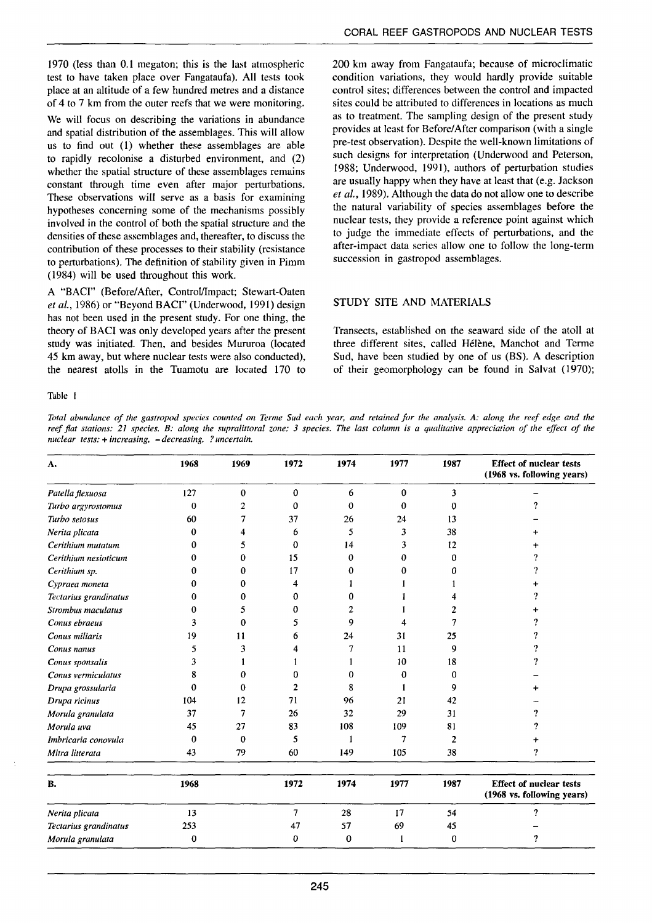We will focus on describing the variations in abundance and spatial distribution of the assemblages. This will allow us to find out (1) whether these assemblages are able to rapidly recolonise a disturbed environment, and (2) whether the spatial structure of these assemblages remains constant through time even after major perturbations. These observations will serve as a basis for examining hypotheses conceming sorne of the mechanisms possibly involved in the control of both the spatial structure and the densities of these assemblages and, thereafter, to discuss the contribution of these processes to their stability (resistance to perturbations). The definition of stability given in Pimm (1984) will be used throughout this work.

A "BACI" (Before/After, Controlllmpact; Stewart-Oaten *et al.,* 1986) or "Beyond BACI" (Underwood, 1991) design has not been used in the present study. For one thing, the theory of BACI was only developed years after the present study was initiated. Then, and besides Mururoa (located 45 km away, but where nuclear tests were also conducted), the nearest atolls in the Tuamotu are located 170 to 200 km away from Fangataufa; because of microclimatic condition variations, they would hardly provide suitable control sites; differences between the control and impacted sites could be attributed to differences in locations as much as to treatment. The sampling design of the present study provides at least for Before/After comparison (with a single pre-test observation). Dcspite the well-known limitations of such designs for interpretation (Underwood and Peterson, 1988; Underwood, 1991), authors of perturbation studies are usually happy when they have at least that (e.g. Jackson *et al.,* 1989). Although the data do not allow one to describe the natural variability of species assemblages before the nuclear tests, they provide a reference point against which to judge the immediate effects of perturbations, and the after-impact data series allow one to follow the long-term succession in gastropod assemblages.

# STUDY SITE AND MATERIALS

Transects, established on the seaward side of the atoll at three different sites, callcd Hélène, Manchot and Terme Sud, have been studied by one of us (BS). A description of their geomorphology can be found in Salvat (1970);

Total abundance of the gastropod species counted on Terme Sud each year, and retained for the analysis. A: along the reef edge and the reef flat stations: 21 species. B: along the supralittoral zone: 3 species. The last column is a qualitative appreciation of the effect of the *nuclear tests:+ increasing, -decreasing, ? uncertain.* 

| A.                    | 1968     | 1969     | 1972           | 1974 | 1977     | 1987     | <b>Effect of nuclear tests</b><br>(1968 vs. following years) |  |
|-----------------------|----------|----------|----------------|------|----------|----------|--------------------------------------------------------------|--|
| Patella flexuosa      | 127      | $\bf{0}$ | 0              | 6    | $\bf{0}$ | 3        |                                                              |  |
| Turbo argyrostomus    | $\bf{0}$ | 2        | 0              | 0    | 0        | 0        |                                                              |  |
| Turbo setosus         | 60       | 7        | 37             | 26   | 24       | 13       |                                                              |  |
| Nerita plicata        | 0        | 4        | 6              | 5    | 3        | 38       |                                                              |  |
| Cerithium mutatum     | 0        | 5        | 0              | 14   | 3        | 12       |                                                              |  |
| Cerithium nesioticum  | 0        | 0        | 15             | 0    | 0        | 0        |                                                              |  |
| Cerithium sp.         | 0        | 0        | 17             | 0    | Λ        | 0        |                                                              |  |
| Cypraea moneta        | 0        | 0        | 4              |      |          |          |                                                              |  |
| Tectarius grandinatus | 0        | 0        | 0              | 0    |          |          |                                                              |  |
| Strombus maculatus    | 0        | 5        | 0              | 2    |          |          |                                                              |  |
| Conus ebraeus         | ٦        | 0        | 5              | 9    |          |          |                                                              |  |
| Conus miliaris        | 19       | 11       | 6              | 24   | 31       | 25       |                                                              |  |
| Conus nanus           | 5        | 3        | 4              | 7    | 11       | 9        |                                                              |  |
| Conus sponsalis       | 3        |          |                |      | 10       | 18       |                                                              |  |
| Conus vermiculatus    | 8        | 0        | 0              | 0    | 0        | 0        |                                                              |  |
| Drupa grossularia     | 0        | 0        | $\overline{2}$ | 8    |          | 9        |                                                              |  |
| Drupa ricinus         | 104      | 12       | 71             | 96   | 21       | 42       |                                                              |  |
| Morula granulata      | 37       | 7        | 26             | 32   | 29       | 31       |                                                              |  |
| Morula uva            | 45       | 27       | 83             | 108  | 109      | 81       |                                                              |  |
| Imbricaria conovula   | 0        | 0        | 5              |      | 7        | 2        |                                                              |  |
| Mitra litterata       | 43       | 79       | 60             | 149  | 105      | 38       | ?                                                            |  |
| B.                    | 1968     |          | 1972           | 1974 | 1977     | 1987     | <b>Effect of nuclear tests</b><br>(1968 vs. following years) |  |
| Nerita plicata        | 13       |          | 7              | 28   | 17       | 54       | າ                                                            |  |
| Tectarius grandinatus | 253      |          | 47             | 57   | 69       | 45       |                                                              |  |
| Morula granulata      | 0        |          | 0              | 0    | 1        | $\bf{0}$ | ?                                                            |  |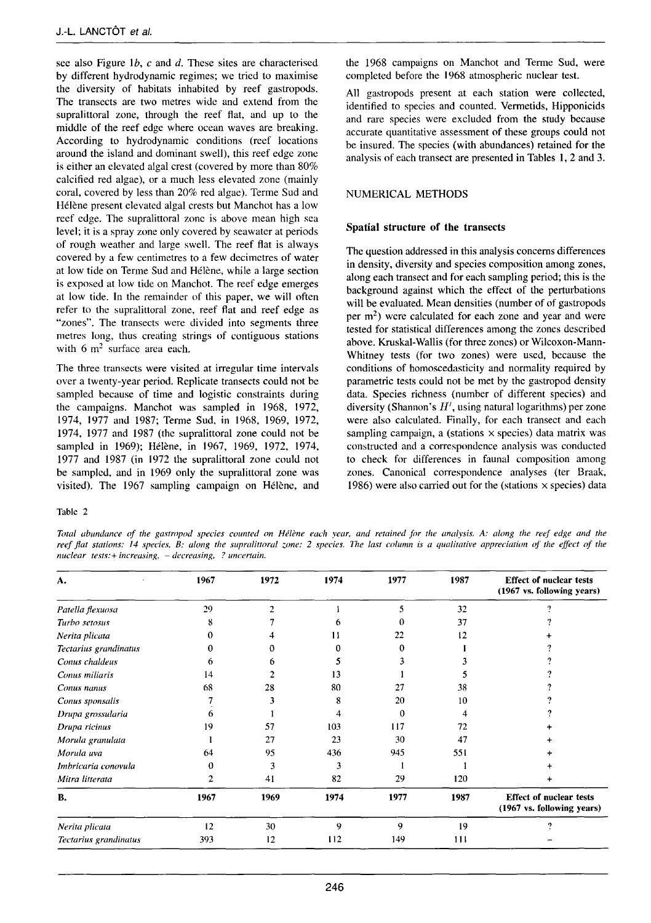see also Figure lb, *c* and d. These sites are characterised by different hydrodynamic regimes; we tried to maximise the diversity of habitats inhabited by reef gastropods. The transects are two metres wide and extend from the supralittoral zone, through the reef flat, and up to the middle of the reef edge where ocean waves are breaking. According to hydrodynamic conditions (reef locations around the island and dominant swell), this reef edge zone is either an elevated algal crest (covered by more than 80% calcified red algae), or a much less elevated zone (mainly coral, covered by Jess than 20% red algae). Terme Sud and Hélène present elevated algal crests but Manchot bas a low reef edge. The supralittoral zone is above mean high sea level; it is a spray zone only covered by seawater at periods of rough weather and large swell. The reef flat is always covered by a few centimetres to a few decimetres of water at low tide on Terme Sud and Hélène, while a large section is exposed at low tide on Manchot. The reef edge emerges at low tide. In the remainder of this paper, we will often refer to the supralittoral zone, reef flat and reef edge as "zones". The transects were divided into segments three metres long, thus creating strings of contiguous stations with  $6 \text{ m}^2$  surface area each.

The three transects were visited at irregular time intervals over a twenty-year period. Replicate transects could not be sampled because of time and logistic constraints during the campaigns. Manchot was sampled in 1968, 1972, 1974, 1977 and 1987; Terme Sud, in 1968, 1969, 1972, 1974, 1977 and 1987 (the supralittoral zone could not be sampled in 1969); Hélène, in 1967, 1969, 1972, 1974, 1977 and 1987 (in 1972 the supralittoral zone could not be sampled, and in 1969 only the supralittoral zone was visited). The 1967 sampling campaign on Hélène, and the 1968 campaigns on Manchot and Terme Sud, were completed before the 1968 atmospheric nuclear test.

Ali gastropods present at each station were collected, identified to species and counted. Vermetids, Hipponicids and rare species were excluded from the study because accurate quantitative assessment of these groups could not be insured. The species (with abondances) retained for the analysis of each transect are presented in Tables 1, 2 and 3.

# NUMERICAL METHODS

## Spatial structure of the transects

The question addressed in this analysis concerns differences in density, diversity and species composition among zones, along each transect and for each sampling period; this is the background against which the effect of the perturbations will be evaluated. Mean densities (number of of gastropods per  $m<sup>2</sup>$ ) were calculated for each zone and year and were tested for statistical differences among the zones described above. Kruskal-Wallis (for three zones) or Wilcoxon-Mann-Whitney tests (for two zones) were used, because the conditions of homoscedasticity and normality required by parametric tests could not be met by the gastropod density data. Species richness (number of different species) and diversity (Shannon's  $H'$ , using natural logarithms) per zone were also calculated. Finally, for each transect and each sampling campaign, a (stations  $\times$  species) data matrix was constructed and a correspondence analysis was conducted to check for differences in faunal composition among zones. Canonical correspondence analyses (ter Braak, 1986) were also carried out for the (stations  $\times$  species) data

*Total ubundance of the gastropod species counted on Hélène each year, and retained for the anulysis. A: along the reef edge and the*  reef flat stations: 14 species, B: along the supralittoral zone: 2 species. The last column is a qualitative appreciation of the effect of the *nuclear tests:+ increusing,* - *decreasing, ? uncertain.* 

| A.                    | 1967 | 1972 | 1974 | 1977 | 1987 | <b>Effect of nuclear tests</b><br>(1967 vs. following years) |
|-----------------------|------|------|------|------|------|--------------------------------------------------------------|
| Patella flexuosa      | 29   | 2    |      | 5    | 32   |                                                              |
| Turbo setosus         | 8    |      | o    |      | 37   |                                                              |
| Nerita plicata        | 0    |      | 11   | 22   | 12   |                                                              |
| Tectarius grandinatus |      |      | 0    | 0    |      |                                                              |
| Conus chaldeus        | o    | n    |      |      |      |                                                              |
| Conus miliaris        | 14   |      | 13   |      |      |                                                              |
| Conus nanus           | 68   | 28   | 80   | 27   | 38   |                                                              |
| Conus sponsalis       |      |      | 8    | 20   | 10   |                                                              |
| Drupa grossularia     | 6    |      | 4    | 0    |      |                                                              |
| Drupa ricinus         | 19   | 57   | 103  | 117  | 72   |                                                              |
| Morula granulata      |      | 27   | 23   | 30   | 47   |                                                              |
| Morula uva            | 64   | 95   | 436  | 945  | 551  |                                                              |
| Imbricaria conovula   |      | 3    | 3    |      |      |                                                              |
| Mitra litterata       |      | 41   | 82   | 29   | 120  |                                                              |
| B.                    | 1967 | 1969 | 1974 | 1977 | 1987 | <b>Effect of nuclear tests</b><br>(1967 vs. following years) |
| Nerita plicata        | 12   | 30   | 9    | 9    | 19   |                                                              |
| Tectarius grandinatus | 393  | 12   | 112  | 149  | 111  |                                                              |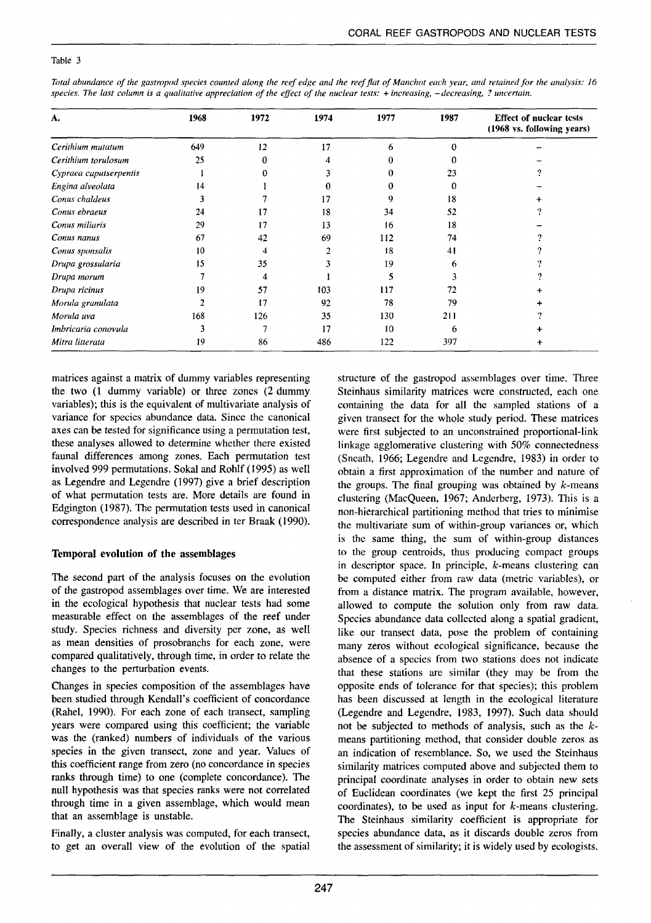### Table 3

| A.                     | 1968 | 1972 | 1974 | 1977 | 1987         | Effect of nuclear tests<br>(1968 vs. following years) |
|------------------------|------|------|------|------|--------------|-------------------------------------------------------|
| Cerithium mutatum      | 649  | 12   | 17   | 6    | 0            |                                                       |
| Cerithium torulosum    | 25   |      |      |      |              |                                                       |
| Cypraea caputserpentis |      |      |      |      | 23           |                                                       |
| Engina alveolata       | 14   |      |      |      |              |                                                       |
| Conus chaldeus         |      |      | 17   | 9    | 18           |                                                       |
| Conus ebraeus          | 24   | 17   | 18   | 34   | 52           |                                                       |
| Conus miliaris         | 29   | 17   | 13   | 16   | 18           |                                                       |
| Conus nanus            | 67   | 42   | 69   | 112  | 74           |                                                       |
| Conus sponsalis        | 10   | 4    | 2    | 18   | 41           |                                                       |
| Drupa grossularia      | 15   | 35   | 3    | 19   | <sub>n</sub> |                                                       |
| Drupa morum            |      | 4    |      | 5    |              |                                                       |
| Drupa ricinus          | 19   | 57   | 103  | 117  | 72           |                                                       |
| Morula granulata       |      | 17   | 92   | 78   | 79           |                                                       |
| Morula uva             | 168  | 126  | 35   | 130  | 211          |                                                       |
| Imbricaria conovula    |      |      | 17   | 10   | 6            |                                                       |
| Mitra litterata        | 19   | 86   | 486  | 122  | 397          |                                                       |

*Total abundance of the gastropod species counted along the reef edge and the reef flat of Manchot each year, and retained for the analysis: 16 species. The last column is a qualitative appreciation of the effect of the nuclear tests:* + *increasing, -decreasing, ? uncertain.* 

matrices against a matrix of dummy variables representing the two (1 dummy variable) or three zones (2 dummy variables); this is the equivalent of multivariate analysis of variance for species abondance data. Since the canonical axes can be tested for significance using a permutation test, these analyses allowed to determine whether there existed faunal differences among zones. Each permutation test involved 999 permutations. Sokal and Rohlf ( 1995) as well as Legendre and Legendre ( 1997) give a brief description of what permutation tests are. More details are found in Edgington (1987). The permutation tests used in canonical correspondence analysis are described in ter Braak (1990).

### Temporal evolution of the assemblages

The second part of the analysis focuses on the evolution of the gastropod assemblages over time. We are interested in the ecological hypothesis that nuclear tests had sorne measurable effect on the assemblages of the reef under study. Species richness and diversity per zone, as weil as mean densities of prosobranchs for each zone, were compared qualitatively, through time, in order to relate the changes to the perturbation events.

Changes in species composition of the assemblages have been studied through Kendall's coefficient of concordance (Rahel, 1990). For each zone of each transect, sampling years were compared using this coefficient; the variable was the (ranked) numbers of individuals of the various species in the given transect, zone and year. Values of this coefficient range from zero (no concordance in species ranks through time) to one (complete concordance). The null hypothesis was that species ranks were not correlated through time in a given assemblage, which would mean that an assemblage is unstable.

Finally, a cluster analysis was computed, for each transect, to get an overall view of the evolution of the spatial structure of the gastropod assemblages over time. Three Steinhaus similarity matrices were constructed, each one containing the data for ali the sampled stations of a given transect for the whole study period. These matrices were first subjected to an unconstrained proportional-link linkage agglomerative clustering with 50% connectedness (Sneath, 1966; Legendre and Legendre, 1983) in order to obtain a first approximation of the number and nature of the groups. The final grouping was obtained by  $k$ -means clustering (MacQueen, 1967; Anderberg, 1973). This is a non-hierarchical partitioning method that tries to minimise the multivariate sum of within-group variances or, which is the same thing, the sum of within-group distances to the group centroids, thus producing compact groups in descriptor space. ln principle, k-means clustering can be computed either from raw data (metric variables), or from a distance matrix. The program available, however, allowed to compute the solution only from raw data. Species abundance data collected along a spatial gradient, like our transect data, pose the problem of containing many zeros without ecological significance, because the absence of a species from two stations does not indicate that these stations are similar (they may be from the opposite ends of tolerance for that species); this problem has been discussed at length in the ecological literature (Legendre and Legendre, 1983, 1997). Such data should not be subjected to methods of analysis, such as the kmeans partitioning method, that consider double zeros as an indication of resemblance. So, we used the Steinhaus similarity matrices computed above and subjected them to principal coordinate analyses in order to obtain new sets of Euclidean coordinates (we kept the first 25 principal coordinates), to be used as input for  $k$ -means clustering. The Steinhaus similarity coefficient is appropriate for species abondance data, as it discards double zeros from the assessment of similarity; it is widely used by ecologists.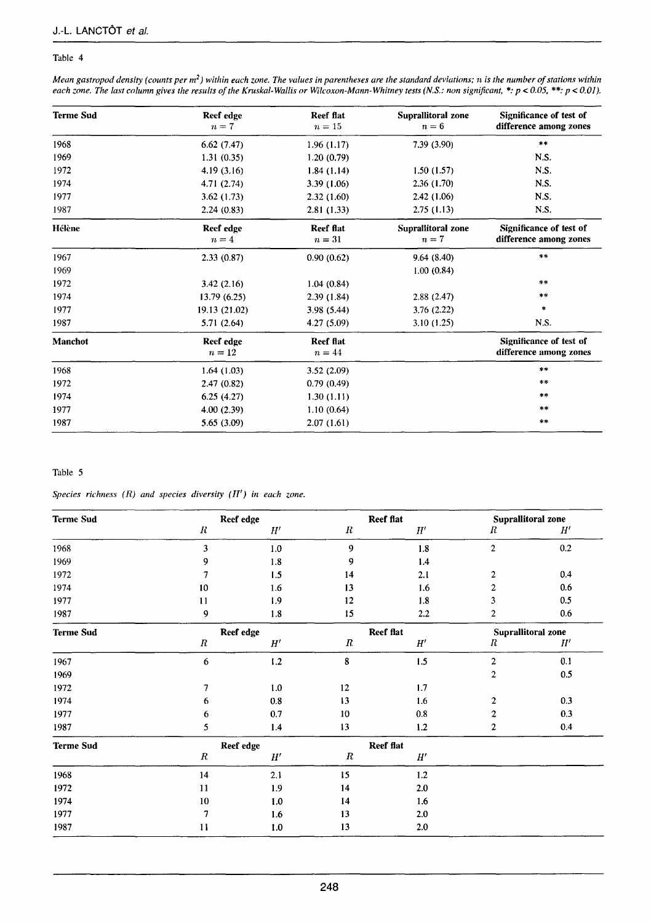Table 4

| Mean gastropod density (counts per $m^2$ ) within each zone. The values in parentheses are the standard deviations; n is the number of stations within      |  |
|-------------------------------------------------------------------------------------------------------------------------------------------------------------|--|
| each zone. The last column gives the results of the Kruskal-Wallis or Wilcoxon-Mann-Whitney tests (N.S.: non significant, *: $p < 0.05$ , **: $p < 0.01$ ). |  |

| <b>Terme Sud</b> | Reef edge<br>$n=7$  | <b>Reef flat</b><br>$n=15$ | Suprallitoral zone<br>$n=6$ | Significance of test of<br>difference among zones |
|------------------|---------------------|----------------------------|-----------------------------|---------------------------------------------------|
| 1968             | 6.62(7.47)          | 1.96(1.17)                 | 7.39(3.90)                  | $\boldsymbol{*}\boldsymbol{*}$                    |
| 1969             | 1.31(0.35)          | 1.20(0.79)                 |                             | N.S.                                              |
| 1972             | 4.19(3.16)          | 1.84(1.14)                 | 1.50(1.57)                  | N.S.                                              |
| 1974             | 4.71 (2.74)         | 3.39 (1.06)                | 2.36(1.70)                  | N.S.                                              |
| 1977             | 3.62(1.73)          | 2.32(1.60)                 | 2.42 (1.06)                 | N.S.                                              |
| 1987             | 2.24(0.83)          | 2.81(1.33)                 | 2.75(1.13)                  | N.S.                                              |
| Hélène           | Reef edge<br>$n=4$  | <b>Reef flat</b><br>$n=31$ | Suprallitoral zone<br>$n=7$ | Significance of test of<br>difference among zones |
| 1967             | 2.33(0.87)          | 0.90(0.62)                 | 9.64 (8.40)                 | $\star\star$                                      |
| 1969             |                     |                            | 1.00(0.84)                  |                                                   |
| 1972             | 3.42(2.16)          | 1.04(0.84)                 |                             | $\ast\ast$                                        |
| 1974             | 13.79(6.25)         | 2.39(1.84)                 | 2.88(2.47)                  | $\star$ $\star$                                   |
| 1977             | 19.13 (21.02)       | 3.98(5.44)                 | 3.76(2.22)                  | *                                                 |
| 1987             | 5.71(2.64)          | 4.27 (5.09)                | 3.10(1.25)                  | N.S.                                              |
| <b>Manchot</b>   | Reef edge<br>$n=12$ | <b>Reef flat</b><br>$n=44$ |                             | Significance of test of<br>difference among zones |
| 1968             | 1.64(1.03)          | 3.52(2.09)                 |                             | $\ast\ast$                                        |
| 1972             | 2.47(0.82)          | 0.79(0.49)                 |                             | $***$                                             |
| 1974             | 6.25(4.27)          | 1.30(1.11)                 |                             | **                                                |
| 1977             | 4.00 (2.39)         | 1.10(0.64)                 |                             | **                                                |
| 1987             | 5.65 (3.09)         | 2.07(1.61)                 |                             | $* *$                                             |

|  |  |  |  |  | Species richness $(R)$ and species diversity $(II')$ in each zone. |  |  |  |  |
|--|--|--|--|--|--------------------------------------------------------------------|--|--|--|--|
|--|--|--|--|--|--------------------------------------------------------------------|--|--|--|--|

| <b>Terme Sud</b> |                  | Reef edge    |                  | Reef flat    |                         | Suprallitoral zone |
|------------------|------------------|--------------|------------------|--------------|-------------------------|--------------------|
|                  | $\boldsymbol{R}$ | $H^\prime$   | $\cal R$         | $H^{\prime}$ | $\boldsymbol{R}$        | $H^\prime$         |
| 1968             | 3                | $1.0\,$      | 9                | $1.8\,$      | $\overline{c}$          | $0.2\,$            |
| 1969             | 9                | $1.8\,$      | 9                | 1.4          |                         |                    |
| 1972             | 7                | 1.5          | 14               | 2.1          | $\boldsymbol{2}$        | 0.4                |
| 1974             | 10               | 1.6          | 13               | 1.6          | $\mathbf{2}$            | 0.6                |
| 1977             | 11               | 1.9          | 12               | 1.8          | 3                       | 0.5                |
| 1987             | 9                | $1.8\,$      | 15               | $2.2\,$      | 2                       | 0.6                |
| <b>Terme Sud</b> |                  | Reef edge    |                  | Reef flat    |                         | Suprallitoral zone |
|                  | $\boldsymbol{R}$ | $H^\prime$   | $\boldsymbol{R}$ | $H^\prime$   | $\boldsymbol{R}$        | $H^{\prime}$       |
| 1967             | 6                | 1.2          | 8                | $1.5\,$      | $\overline{\mathbf{c}}$ | 0.1                |
| 1969             |                  |              |                  |              | $\boldsymbol{2}$        | 0.5                |
| 1972             | 7                | $1.0$        | 12               | 1.7          |                         |                    |
| 1974             | 6                | 0.8          | 13               | 1.6          | $\boldsymbol{2}$        | 0.3                |
| 1977             | 6                | 0.7          | 10               | $0.8\,$      | $\boldsymbol{2}$        | 0.3                |
| 1987             | 5                | 1.4          | 13               | 1.2          | 2                       | $0.4\,$            |
| <b>Terme Sud</b> |                  | Reef edge    |                  | Reef flat    |                         |                    |
|                  | $\cal R$         | $H^{\prime}$ | $\boldsymbol{R}$ | $H^\prime$   |                         |                    |
| 1968             | 14               | 2.1          | 15               | 1.2          |                         |                    |
| 1972             | 11               | 1.9          | 14               | 2.0          |                         |                    |
| 1974             | 10               | $1.0$        | 14               | 1.6          |                         |                    |
| 1977             | 7                | 1.6          | 13               | 2.0          |                         |                    |
| 1987             | 11               | $1.0$        | 13               | 2.0          |                         |                    |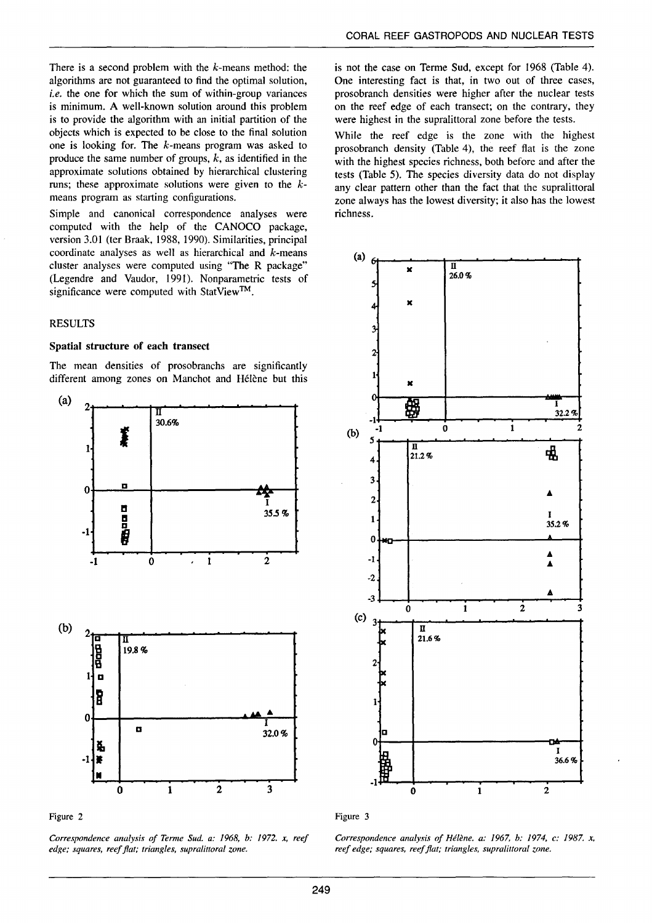There is a second problem with the  $k$ -means method: the algorithms are not guaranteed to find the optimal solution, *i.e.* the one for which the sum of within-group variances is minimum. A well-known solution around this problem is to provide the algorithm with an initial partition of the abjects which is expected to be close to the final solution one is looking for. The k-means program was asked to produce the same number of groups,  $k$ , as identified in the approximate solutions obtained by hierarchical clustering runs; these approximate solutions were given to the  $k$ means program as starting configurations.

Simple and canonical correspondence analyses were computed with the help of the CANOCO package, version 3.01 (ter Braak, 1988, 1990). Similarities, principal coordinate analyses as weil as hierarchical and k-means cluster analyses were computed using "The R package" (Legendre and Vaudor, 1991). Nonparametric tests of significance were computed with StatView™.

### RESULTS

### Spatial structure of each transect

The mean densities of prosobranchs are significantly different among zones on Manchot and Hélène but this





*Correspondence analysis of Terme Sud. a: 1968, b: 1972. x, reef edge; squares, reef flat; triangles, supralittoral zone.* 

is not the case on Terme Sud, except for 1968 (Table 4). One interesting fact is that, in two out of three cases, prosobranch densities were higher after the nuclear tests on the reef edge of each transect; on the contrary, they were highest in the supralittoral zone before the tests.

While the reef edge is the zone with the highest prosobranch density (Table 4), the reef flat is the zone with the highest species richness, bath before and after the tests (Table 5). The species diversity data do not display any clear pattern other than the fact that the supralittoral zone always has the lowest diversity; it also has the lowest richness.





*Correspondence analysis of Hélène. a: 1967, b: 1974, c: 1987. x, reef edge; squares, reefflat; triangles, supralittoral zone.*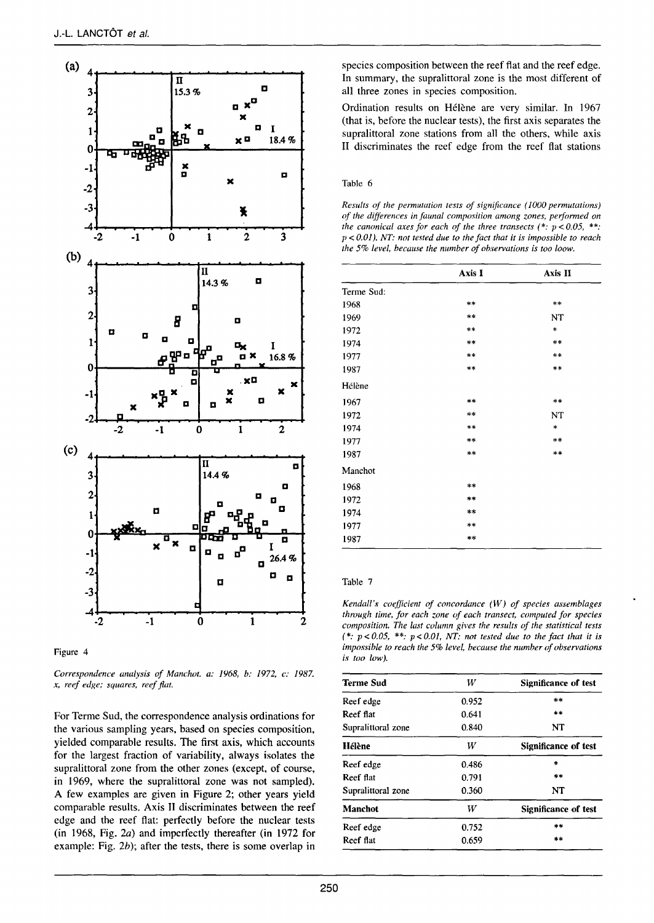

Figure 4

*Correspondence analysis of Manchot. a: 1968, b: 1972, c: 1987. x, reef edge; squares, reef fiat.* 

For Terme Sud, the correspondence analysis ordinations for the various sampling years, based on species composition, yielded comparable results. The first axis, which accounts for the largest fraction of variability, always isolates the supralittoral zone from the other zones (except, of course, in 1969, where the supralittoral zone was not sampled). A few examples are given in Figure 2; other years yield comparable results. Axis JI discriminates between the reef edge and the reef flat: perfectly before the nuclear tests (in 1968, Fig.  $2a$ ) and imperfectly thereafter (in 1972 for example: Fig. 2b); after the tests, there is some overlap in

species composition between the reef flat and the reef edge. In summary, the supralittoral zone is the most different of ail three zones in species composition.

Ordination results on Hélène are very similar. In 1967 (that is, before the nuclear tests), the first axis separates the supralittoral zone stations from ail the others, while axis II discriminates the reef edge from the reef flat stations

#### Table 6

*Results of the permutation tests of significance ( 1000 permutations) of the differences in faunal composition among zones, performed on the canonical axes for each of the three transects (\*:*  $p < 0.05$ *, \*\*:* p < *0.01 ). NT: not tested due to the fact that it is impossible to reach the* 5% *leve!, because the number of observations is too loow.* 

|            | Axis I | Axis II |
|------------|--------|---------|
| Terme Sud: |        |         |
| 1968       | $**$   | **      |
| 1969       | $**$   | NT      |
| 1972       | **     | $\ast$  |
| 1974       | $* *$  | $**$    |
| 1977       | $**$   | $**$    |
| 1987       | $**$   | $* *$   |
| Hélène     |        |         |
| 1967       | $**$   | **      |
| 1972       | $**$   | NT      |
| 1974       | **     | $\star$ |
| 1977       | $**$   | $***$   |
| 1987       | **     | $**$    |
| Manchot    |        |         |
| 1968       | $**$   |         |
| 1972       | $**$   |         |
| 1974       | $**$   |         |
| 1977       | **     |         |
| 1987       | **     |         |

*Kendall's coefficient of concordance* (W) *of species assemblages through time, for each zone of each transect, computed for species*  composition. The last column gives the results of the statistical tests  $(*: p < 0.05, **: p < 0.01, NT: not tested due to the fact that it is$ *impossible to reach the 5% level, because the number of observations is too law).* 

| W     | Significance of test |
|-------|----------------------|
| 0.952 | **                   |
| 0.641 | $**$                 |
| 0.840 | NT                   |
| W     | Significance of test |
| 0.486 | $\ast$               |
| 0.791 | **                   |
| 0.360 | NT                   |
| w     | Significance of test |
| 0.752 | **                   |
| 0.659 | **                   |
|       |                      |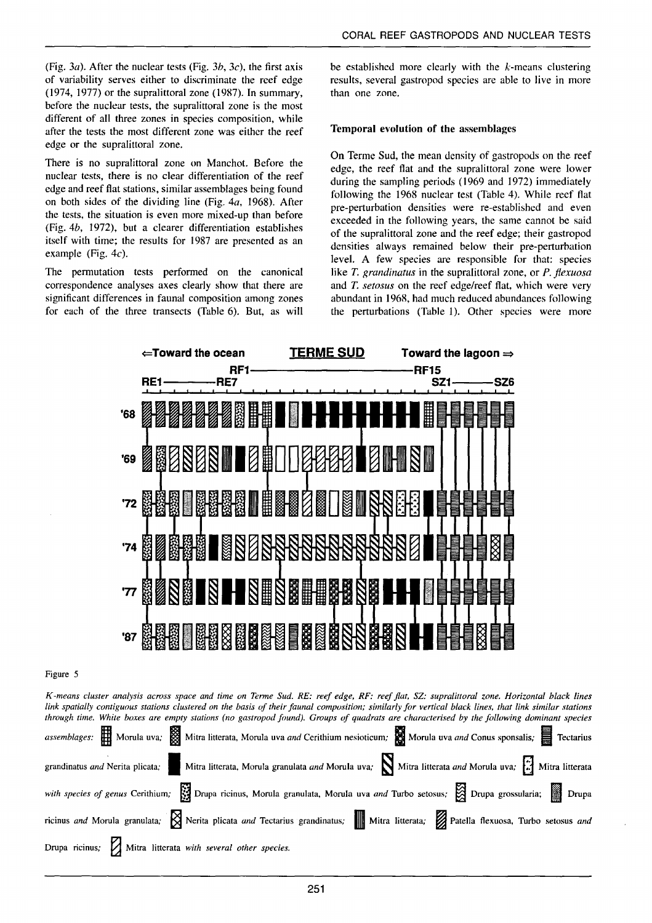(Fig.  $3a$ ). After the nuclear tests (Fig.  $3b$ ,  $3c$ ), the first axis of variability serves either to discriminate the reef edge (1974, 1977) or the supralittoral zone (1987). ln summary, bcfore the nuclear tests, the supralittoral zone is the most different of ali three zones in species composition, while after the tests the most different zone was either the reef edge or the supralittoral zone.

There is no supralittoral zone on Manchot. Before the nuclear tests, there is no clear differentiation of the reef edge and reef flat stations, similar assemblages being found on both sides of the dividing line (Fig. 4a, 1968). After the tests, the situation is even more mixed-up than before (Fig. 4b, 1972), but a clearer differentiation establishes itself with time; the results for 1987 are presented as an example (Fig. 4c).

The permutation tests performed on the canonical correspondence analyses axes clearly show that there are significant differences in faunal composition among zones for each of the three transects (Table 6). But, as will be established more clearly with the  $k$ -means clustering results, severa! gastropod species are able to live in more than one zone.

### Temporal evolution of the assemblages

On Terme Sud, the mean density of gastropods on the reef edge, the reef flat and the supralittoral zone were lower during the sampling periods (1969 and 1972) immediately following the 1968 nuclear test (Table 4). While reef flat pre-perturbation densities were re-established and even exceeded in the following years, the same cannot be said of the supralittoral zone and the reef edge; their gastropod densities always remained below their pre-perturbation level. A few species are responsible for that: species like *T. grandinatus* in the supralittoral zone, or *P. jlexuosa*  and *T. setosus* on the reef edge/reef flat, which were very abundant in 1968, had much reduced abundances following the perturbations (Table 1). Other species were more



### Figure 5

*K-means cluster analysis across space and time on Terme Sud. RE: reef edge, RF: reef flat, SZ: supralittoral zone. Horizontal black !ines link spatially contiguous stations clustered on the basis of their faunal composition; similarly for vertical black lines, that link similar stations* 

| through time. White boxes are empty stations (no gastropod found). Groups of quadrats are characterised by the following dominant species                                                                                      |
|--------------------------------------------------------------------------------------------------------------------------------------------------------------------------------------------------------------------------------|
| assemblages: Him Morula uva; Section Mitra litterata, Morula uva and Cerithium nesioticum; Section Morula uva and Conus sponsalis; Tectarius                                                                                   |
| grandinatus and Nerita plicata; Mitra litterata, Morula granulata and Morula uva; Mitra litterata and Morula uva; $\Box$ Mitra litterata                                                                                       |
| with species of genus Cerithium; $\begin{array}{cc} \bullet \\ \bullet \end{array}$ Drupa ricinus, Morula granulata, Morula uva and Turbo setosus; $\begin{array}{cc} \bullet \\ \bullet \end{array}$ Drupa grossularia; Drupa |
| ricinus and Morula granulata; Nerita plicata and Tectarius grandinatus; Mitra litterata; Patella flexuosa, Turbo setosus and                                                                                                   |
| Drupa ricinus; $\beta$ Mitra litterata with several other species.                                                                                                                                                             |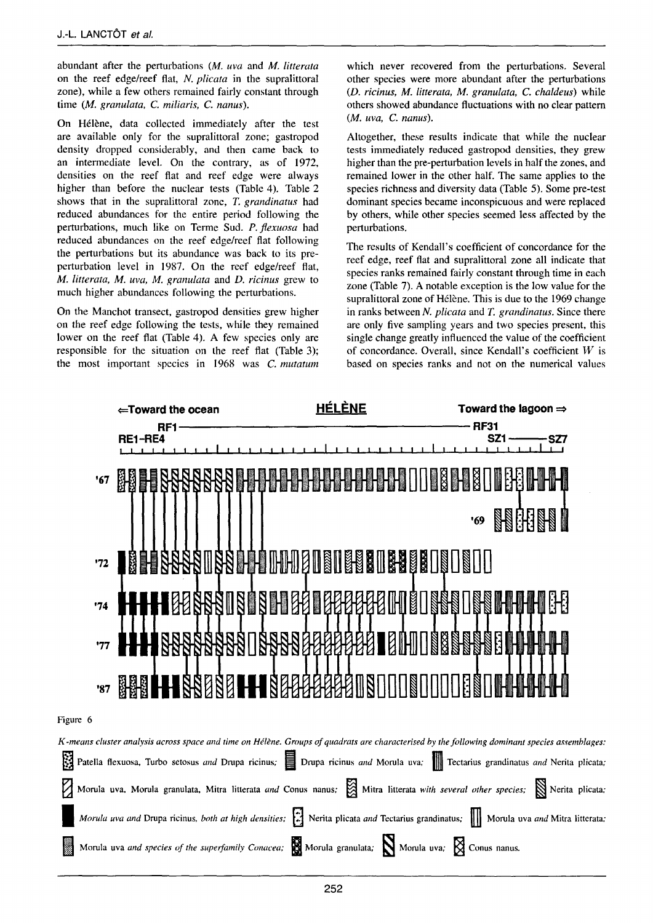abundant after the perturbations *(M. uva* and *M. litterata*  on the reef edge/reef flat, N. *plicata* in the supralittoral zone), while a few others remained fairly constant through time *(M. granulata, C. miliaris, C. nanus).* 

On Hélène, data collected immediately after the test are available only for the supralittoral zone; gastropod density dropped considerably, and then came back to an intermediate level. On the contrary, as of 1972, densities on the reef flat and reef edge were always higher than before the nuclear tests (Table 4). Table 2 shows that in the supralittoral zone, *T. grandinatus* had reduced abundances for the entire period following the perturbations, much like on Terme Sud. *P. jlexuosa* had reduced abundances on the reef edge/recf flat following the perturbations but its abundance was back to its preperturbation level in 1987. On the reef edge/reef flat, *M. litterata, M. uva, M. granulata* and *D. ricinus* grew to much higher abundances following the perturbations.

On the Manchot transect, gastropod densities grew higher on the reef edge following the tests, while they remained lower on the reef flat (Table 4). A few species only are responsible for the situation on the reef flat (Table 3); the most important species in 1968 was *C. mutatum*  which never recovered from the perturbations. Several other species were more abundant after the perturbations *(D. ricinus, M. litterata, M. granulata, C. chaldeus)* while others showed abundance fluctuations with no clear pattern *(M. uva, C. nanus).* 

Altogether, these results indicate that while the nuclear tests immediately reduced gastropod densities, they grew higher than the pre-perturbation levels in half the zones, and remained lower in the other half. The same applies to the species richness and diversity data (Table 5). Some pre-test dominant species became inconspicuous and were replaced by others, while other species seemed less affected by the perturbations.

The results of Kendall's coefficient of concordance for the reef edge, reef flat and supralittoral zone ali indicate that species ranks remained fairly constant through time in each zone (Table 7). A notable exception is the low value for the supralittoral zone of Hélène. This is due to the 1969 change in ranks between *N. plicata* and *T. grandinatus.* Since there are only five sampling years and two species present, this single change greatly influenced the value of the coefficient of concordance. Overall, since Kendall's coefficient  $W$  is based on species ranks and not on the numerical values

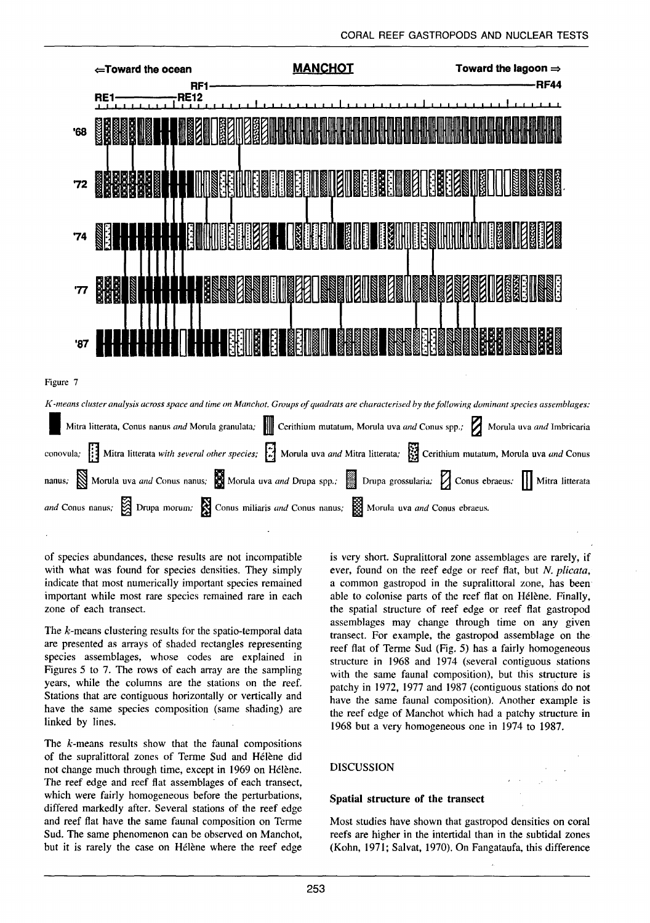

of species abundances, these results are not incompatible with what was found for species densities. They simply indicate that most numerically important species remained important while most rare species remained rare in each zone of each transect.

The k-means clustering results for the spatio-temporal data are presented as arrays of shaded rectangles representing species assemblages, whose codes are explained in Figures 5 to 7. The rows of each array are the sampling years, while the columns are the stations on the reef. Stations that are contiguous horizontally or vertically and have the same species composition (same shading) are linked by lines.

The  $k$ -means results show that the faunal compositions of the supralittoral zones of Terme Sud and Hélène did not change much through time, except in 1969 on Hélène. The reef edge and reef flat assemblages of each transect, which were fairly homogeneous before the perturbations, differed markedly after. Several stations of the reef edge and reef flat have the same faunal composition on Terme Sud. The same phenomenon can be observed on Manchot, but it is rarely the case on Hélène where the reef edge is very short. Supralittoral zone assemblages are rarely, if ever, found on the reef edge or reef flat, but N. *plicata,*  a common gastropod in the supralittoral zone, bas been able to colonise parts of the reef flat on Hélène. Finally, the spatial structure of reef edge or reef flat gastropod assemblages may change through time on any given transect. For example, the gastropod assemblage on the reef flat of Terme Sud (Fig. 5) has a fairly homogeneous structure in 1968 and 1974 (several contiguous stations with the same faunal composition), but this structure is patchy in 1972, 1977 and 1987 (contiguous stations do not have the same faunal composition). Another example is the reef edge of Manchot which bad a patchy structure in 1968 but a very homogeneous one in 1974 to 1987.

### DISCUSSION

### Spatial structure of the transect

Most studies have shown that gastropod densities on coral reefs are higher in the intertidal than in the subtidal zones (Kohn, 1971; Salvat, 1970). On Fangataufa, this difference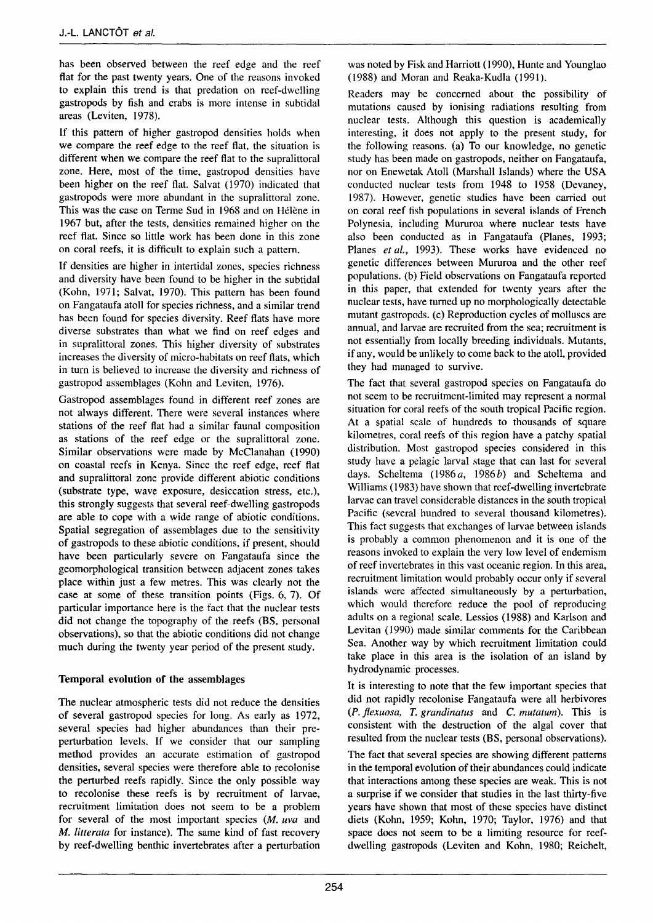has been observed between the reef edge and the reef flat for the past twenty years. One of the reasons invoked to explain this trend is that predation on reef-dwelling gastropods by fish and crabs is more intense in subtidal areas (Leviten, 1978).

If this pattern of higher gastropod densities holds when we compare the reef edge to the reef flat. the situation is different when we compare the reef flat to the supralittoral zone. Here, most of the time, gastropod densities have been higher on the reef flat. Salvat (1970) indicated that gastropods were more abundant in the supralittoral zone. This was the case on Terme Sud in 1968 and on Hélène in 1967 but, after the tests, densities remained higher on the reef flat. Since so little work has been done in this zone on coral reefs, it is difficult to explain such a pattern.

If densities are higher in intertidal zones, species richness and diversity have been found to be higher in the subtidal (Kohn, 1971; Salvat, 1970). This pattern has been found on Fangataufa atoll for species richness, and a similar trend has been found for species diversity. Reef flats have more diverse substrates than what we find on reef edges and in supralittoral zones. This higher diversity of substrates increases the diversity of micro-habitats on reef flats, which in turn is believed to increase the diversity and richness of gastropod assemblages (Kohn and Leviten, 1976).

Gastropod assemblages found in different reef zones are not always different. There were several instances where stations of the reef flat had a similar faunal composition as stations of the reef edge or the supralittoral zone. Similar observations were made by McClanahan ( 1990) on coastal reefs in Kenya. Since the reef edge, reef flat and supralittoral zone provide different abiotic conditions (substrate type, wave exposure, desiccation stress, etc.), this strongly suggests that severa! reef-dwelling gastropods are able to cope with a wide range of abiotic conditions. Spatial segregation of assemblages due to the sensitivity of gastropods to these abiotic conditions, if present, should have been particularly severe on Fangataufa since the geomorphological transition between adjacent zones takes place within just a few metres. This was clearly not the case at sorne of these transition points (Figs. 6, 7). Of particular importance here is the fact that the nuclear tests did not change the topography of the reefs (BS, persona) observations), so that the abiotic conditions did not change much during the twenty year period of the present study.

# **Temporal evolution of the** assemblages

The nuclear atmospheric tests did not reduce the densities of severa! gastropod species for long. As early as 1972, severa) species had higher abundances than their preperturbation levels. If we consider that our sampling method provides an accurate estimation of gastropod densities, severa! species were therefore able to recolonise the perturbed reefs rapidly. Since the only possible way to recolonise these reefs is by recruitment of larvae, recruitment limitation does not seem to be a problem for severa! of the most important species (M. *uva* and *M. litterata* for instance). The same kind of fast recovery by reef-dwelling benthic invertebrates after a perturbation was noted by Fisk and Harriott ( 1990), Hunte and Younglao (1988) and Moran and Reaka-Kudla (1991).

Readers may be concerned about the possibility of mutations caused by ionising radiations resulting from nuclear tests. Although this question is academically interesting, it does not apply to the present study, for the following reasons. (a) To our knowledge, no genetic study has been made on gastropods, neither on Fangataufa, nor on Enewetak Atoll (Marshall Islands) where the USA conducted nuclear tests from 1948 to 1958 (Devaney, 1987). However, genetic studies have been carried out on coral reef fish populations in several islands of French Polynesia, including Mururoa where nuclear tests have also been conducted as in Fangataufa (Planes, 1993; Planes *et al.,* 1993). These works have evidenced no genetic differences between Mururoa and the other reef populations. (b) Field observations on Fangataufa reported in this paper, that extended for twenty years after the nuclear tests, have turned up no morphologically detectable mutant gastropods. (c) Reproduction cycles of molluscs are annual, and larvae are recruited from the sea; recruitment is not essentially from locally breeding individuals. Mutants, if any, would be unlikely to come back to the atoll, provided they had managed to survive.

The fact that several gastropod species on Fangataufa do not seem to be recruitment-limited may represent a normal situation for coral reefs of the south tropical Pacifie region. At a spatial scale of hundreds to thousands of square kilometres, coral reefs of this region have a patchy spatial distribution. Most gastropod species considered in this study have a pelagie larval stage that can last for severa! days. Scheltema (1986 *a*, 1986 *b*) and Scheltema and Williams (1983) have shown that reef-dwelling invertebrate larvae can travel considerable distances in the south tropical Pacific (several hundred to several thousand kilometres). This fact suggests that exchanges of larvae between islands is probably a common phenomenon and it is one of the reasons invoked to explain the very low level of endemism of reef invertebrates in this vast oceanic region. In this area, recruitment limitation would probably occur only if several islands were affected simultaneously by a perturbation, which would therefore reduce the pool of reproducing adults on a regional scale. Lessios (1988) and Karlson and Levitan ( 1990) made similar comments for the Caribbean Sea. Another way by which recruitment limitation could take place in this area is the isolation of an island by hydrodynamic processes.

It is interesting to note that the few important species that did not rapidly recolonise Fangataufa were ail herbivores (P. *jlexuosa,* T. *grandinatus* and C. *mutatum).* This is consistent with the destruction of the algal cover that resulted from the nuclear tests (BS, personal observations).

The fact that several species are showing different patterns in the temporal evolution of their abundances could indicate that interactions among these species are weak. This is not a surprise if we consider that studies in the last thirty-five years have shown that most of these species have distinct diets (Kohn, 1959; Kohn, 1970; Taylor, 1976) and that space does not seem to be a limiting resource for reefdwelling gastropods (Leviten and Kohn, 1980; Reichelt,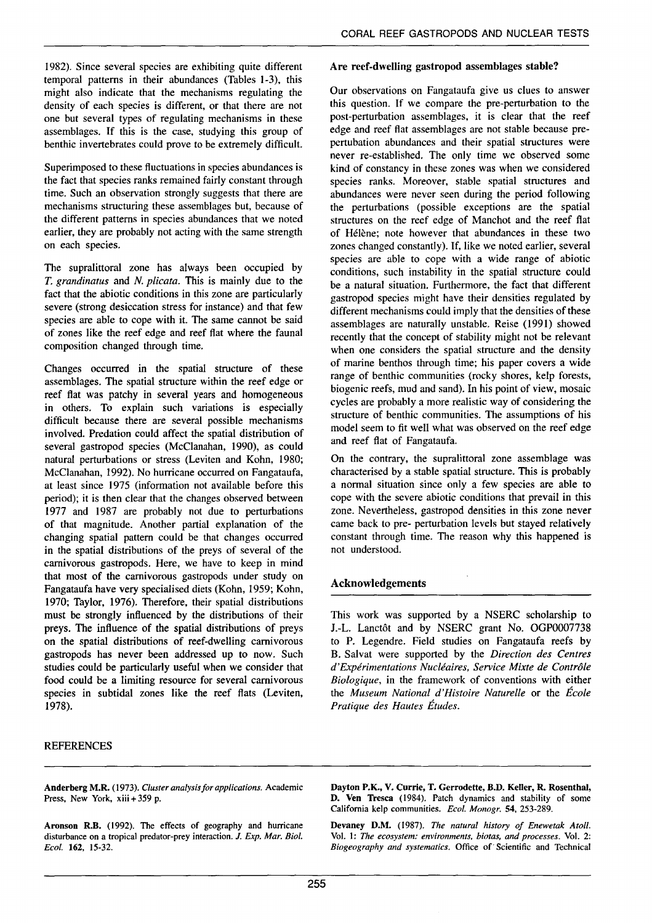1982). Since severa! species are exhibiting quite different temporal patterns in their abundances (Tables 1-3), this might also indicate that the mechanisms regulating the density of each species is different, or that there are not one but severa! types of regulating mechanisms in these assemblages. If this is the case, studying this group of benthic invertebrates could prove to be extremely difficult.

Superimposed to these fluctuations in species abundances is the fact that species ranks remained fairly constant through time. Such an observation strongly suggests that there are mechanisms structuring these assemblages but, because of the different patterns in species abundances that we noted earlier, they are probably not acting with the same strength on each species.

The supralittoral zone has always been occupied by *T. grandinatus* and *N. plicata.* This is mainly due to the fact that the abiotic conditions in this zone are particularly severe (strong desiccation stress for instance) and that few species are able to cope with it. The same cannot be said of zones like the reef edge and reef flat where the faunal composition changed through time.

Changes occurred in the spatial structure of these assemblages. The spatial structure within the reef edge or reef flat was patchy in severa! years and homogeneous in others. To explain such variations is especially difficult because there are several possible mechanisms involved. Predation could affect the spatial distribution of several gastropod species (McClanahan, 1990), as could natural perturbations or stress (Leviten and Kohn, 1980; McCianahan, 1992). No hurricane occurred on Fangataufa, at least since 1975 (information not available before this period); it is then clear that the changes observed between 1977 and 1987 are probably not due to perturbations of that magnitude. Another partial explanation of the changing spatial pattern could be that changes occurred in the spatial distributions of the preys of several of the carnivorous gastropods. Here, we have to keep in mind that most of the camivorous gastropods under study on Fangataufa have very specialised diets (Kohn, 1959; Kohn, 1970; Taylor, 1976). Therefore, their spatial distributions must be strongly influenced by the distributions of their preys. The influence of the spatial distributions of preys on the spatial distributions of reef-dwelling carnivorous gastropods has never been addressed up to now. Such studies could be particularly useful when we consider that food could be a limiting resource for several carnivorous species in subtidal zones like the reef flats (Leviten, 1978).

### REFERENCES

### Are reef-dwelling gastropod assemblages stable?

Our observations on Fangataufa give us elues to answer this question. If we compare the pre-perturbation to the post-perturbation assemblages, it is clear that the reef edge and reef flat assemblages are not stable because prepertubation abundances and their spatial structures were never re-established. The only time we observed some kind of constancy in these zones was when we considered species ranks. Moreover, stable spatial structures and abundances were never seen during the period following the perturbations (possible exceptions are the spatial structures on the reef edge of Manchot and the reef flat of Hélène; note however that abundances in these two zones changed constantly). If, like we noted earlier, severa! species are able to cope with a wide range of abiotic conditions, such instability in the spatial structure could be a natural situation. Furthermore, the fact that different gastropod species might have their densities regulated by different mechanisms could imply that the densities of these assemblages are naturally unstable. Reise (1991) showed recently that the concept of stability might not be relevant when one considers the spatial structure and the density of marine benthos through time; his paper covers a wide range of benthic communities (rocky shores, kelp forests, biogenic reefs, mud and sand). In his point of view, mosaic cycles are probably a more realistic way of considering the structure of benthic communities. The assumptions of his mode! seem to fit weil what was observed on the reef edge and reef flat of Fangataufa.

On the contrary, the supralittoral zone assemblage was characterised by a stable spatial structure. This is probably a normal situation since only a few species are able to cope with the severe abiotic conditions that prevail in this zone. Nevertheless, gastropod densities in this zone never came back to pre- perturbation levels but stayed relatively constant through time. The reason why this happened is not understood.

### Acknowledgements

This work was supported by a NSERC scholarship to J.-L. Lanctôt and by NSERC grant No. OGP0007738 to P. Legendre. Field studies on Fangataufa reefs by B. Salvat were supported by the *Direction des Centres d'Expérimentations Nucléaires, Service Mixte de Contrôle Biologique,* in the framework of conventions with either the *Museum National d'Histoire Naturelle* or the *École Pratique des Hautes Études.* 

Anderberg M.R. (1973). *Clusteranalysisforapplications.* Academie Press, New York, xiii + 359 p.

Aronson R.B. (1992). The effects of geography and hurricane disturbance on a tropical predator-prey interaction. J. *Exp. Mar. Biol. Eco/.* 162, 15-32.

Dayton P.K., V. Currie, T. Gerrodette, B.D. Keller, R. Rosenthal, D. Ven Tresca (1984). Patch dynamics and stability of some Califomia kelp communities. *Eco/. Monogr.* 54, 253-289.

Devaney D.M. (1987). *The natural history of Enewetak Atoll.*  Vol. 1: *The ecosystem: environments, biotas, and processes.* Vol. 2: *Biogeography and systematics.* Office of· Scientific and Technical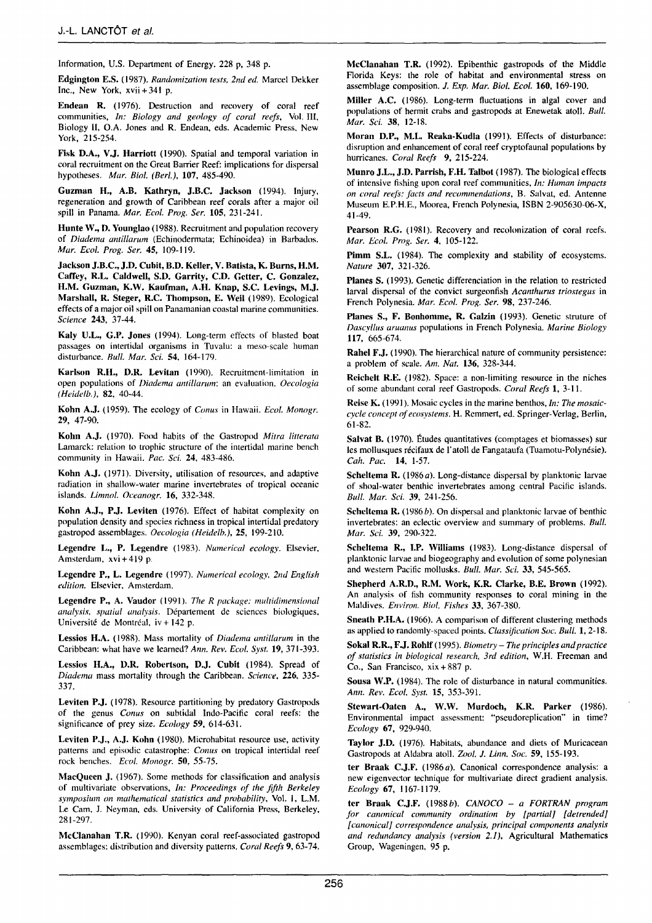Information, U.S. Department of Energy. 228 p, 348 p.

Edgington E.S. ( 1987). *Randomization tests, 2nd ed.* Marcel Dekker lnc., New York, xvii+ 341 p.

Endean R. (1976). Destruction and recovery of coral reef communities, *ln: Bio/ogy and geology of coral reefs,* Vol. Ill, Biology Il, O.A. Jones and R. Endean, eds. Academie Press, New York, 215-254.

Fisk D.A., V.J. Harriott (1990). Spatial and temporal variation in coral recruitment on the Great Barrier Reef: implications for dispersal hypotheses. *Mar. Biol. (Berl.),* 107, 485-490.

Guzman H., A.B. Kathryn, J.B.C. Jackson (1994). lnjury, regeneration and growth of Carihhean reef corals after a major oil spill in Panama. *Mar. Ecot. Prog. Ser.* 105, 231-241.

Hunte W., D. Younglao (1988). Recruitment and population recovery of *Diadema antillarum* (Echinoderrnata; Echinoidea) in Barbados. *Mar. Ecot. Prog. Ser.* 45, 109-119.

Jackson J.B.C., J.D. Cubit, B.D. Keller, V. Batista, K. Burns, H.M. Caffey, R.L. Caldwell, S.D. Garrity, C.D. Getter, C. Gonzalez, H.M. Guzman, K.W. Kaufman, A.H. Knap, S.C. Levings, M.J. Marshall, R. Steger, R.C. Thompson, E. Weil (1989). Ecological effects of a major oil spill on Panamanian coastal marine communities. *Science* 243, 37-44.

Kaly U.L., G.P. Jones (1994). Long-term effects of blasted boat passages on intertida1 organisms in Tuvalu: a meso-scale human disturbance. *Bull. Mar. Sei.* 54, 164-179.

Karlson R.H., D.R. Levitan (1990). Recruitment-limitation in open populations of *Diadema antillarum:* an evaluation. *Oecologia (Heidelb.),* 82, 40-44.

Kohn A.J. (1959). The ecology of *Conus* in Hawaii. *Ecol. Monogr.*  29, 47-90.

Kohn A.J. (1970). Food habits of the Gastropod *Mitra litterata*  Lamarck: relation to trophic structure of the intertidal marine bench community in Hawaii. *Pac. Sei.* 24, 483-486.

Kohn A.J. (1971). Diversity, utilisation of resources, and adaptive radiation in shallow-water marine invertebrates of tropical oceanic islands. *Limnol. Oceanogr.* 16, 332-348.

Kohn A.J., P.J. Leviten (1976). Effect of habitat complexity on population density and species richness in tropical intertidal predatory gastropod assemblages. *Oecologia (Heidelb.),* 25, 199-210.

Legendre L., P. Legendre (1983). *Numerical ecology*. Elsevier, Amsterdam, xvi +419 p.

Legendre P., L. Legendre (1997). *Numerical ecology, 2nd English edition.* Elsevier, Amsterdam.

Legendre P., A. Vaudor (1991 ). *The R package: multidimensional analysis, spatial analysis.* Département de sciences biologiques, Université de Montréal, iv+ 142 p.

Lessios H.A. ( 1988). Mass mortality of *Diadema antillarum* in the Caribbean: what have we learned? *Ann. Rev. Ecot. Syst.* 19, 371-393.

Lessios H.A., D.R. Robertson, D.J. Cubit (1984). Spread of *Diadema* mass mortality through the Caribbean. *Science,* 226, 335- 337.

Leviten P.J. ( 1978). Resource partitioning by predatory Gastropods of the genus *Conus* on subtidal lndo-Pacific coral reefs: the significance of prey size. *Eco/ogy* 59, 614-631.

Leviten P.J., A.J. Kohn (1980). Microhabitat resource use, activity patterns and episodic catastrophe: *Conus* on tropical intertidal reef rock benches. *Ecol. Monogr.* **50**, 55-75.

MacQueen J. (1967). Some methods for classification and analysis of multivariate observations, *ln: Proceedings of the fifth Berkeley symposium on matlzematical statistics and probability,* Vol. 1, L.M. Le Cam, J. Neyman, cds. University of California Press, Berkeley, 281-297.

McClanahan T.R. (1990). Kenyan coral reef-associated gastropod assemblages: distribution and diversity patterns. *Coral Reefs* 9, 63-74.

McClanahan T.R. (1992). Epibenthic gastropods of the Middle Florida Keys: the role of habitat and environmental stress on assemblage composition. J. *Exp. Mar. Biol. Ecot.* 160, 169-190.

Miller A.C. (1986). Long-term fluctuations in algal cover and populations of hermit crahs and gastropods at Enewetak atoll. *Bull. Mar. Sei.* 38, 12-18.

Moran D.P., M.L. Reaka-Kudla (1991). Effects of disturbance: disruption and enhancement of coral reef cryptofaunal populations by hurricanes. *Coral Reefs* 9, 215-224.

Munro J.L., J.D. Parrish, F.H. Talbot ( 1987). The biologica) effects of intensive fishing upon coral reef communities, *ln: Human impacts on coral reefs: facts and recommendations,* B. Salvat, ed. Antenne Museum E.P.H.E., Moorea, French Polynesia, ISBN 2-905630-06-X, 41-49.

Pearson R.G. (1981). Recovery and recolonization of coral reefs. *Mar. Eco!. Prog. Ser.* 4, 105-122.

Pimm S.L. (1984). The complexity and stability of ecosystems. *Nature* 307, 321-326.

Planes S. (1993). Genetic differenciation in the relation to restricted larval dispersal of the convict surgeonfish *Acanthurus triostegus* in French Polynesia. *Mar. Eco!. Prog. Ser.* 98, 237-246.

Planes S., F. Bonhomme, R. Galzin (1993). Genetic struture of *Dascyllus aruanus* populations in French Polynesia. *Marine Biology*  117, 665-674.

Rahel F.J. ( 1990). The hierarchical nature of community persistence: a problem of scale. *Am. Nat.* 136, 328-344.

Reichelt R.E. ( 1982). Space: a non-limiting resource in the niches of sorne abundant coral reef Gastropods. *Coral Reefs* 1, 3-11.

Rcise K. ( 1991 ). Mosaic cycles in the marine benthos, *ln: The mosaiccycle concept of ecosystems.* H. Remmert, ed. Springer-Verlag, Berlin, 61-82.

Salvat B. (1970). Études quantitatives (comptages et biomasses) sur les mollusques récifaux de l'atoll de Fangataufa (Tuamotu-Polynésie). *Cah. Pac.* 14, 1-57.

Scheltema R. (1986 a). Long-distance dispersal by planktonic larvae of shoal-water benthic invertebrates among central Pacifie islands. *Bull. Mar. Sei.* 39, 241-256.

Scheltema R. (1986 b). On dispersal and planktonic larvae of benthic invertebrates: an eclectic overview and summary of problems. *Bull. Mar. Sei.* 39, 290-322.

Scheltema R., I.P. Williams (1983). Long-distance dispersal of planktonic larvae and biogeography and evolution of sorne polynesian and western Pacifie mollusks. *Bull. Mar. Sei.* 33, 545-565.

Shepherd A.R.D., R.M. Work, K.R. Clarke, B.E. Brown (1992). An analysis of fish community responses to coral mining in the Maldives. *Environ. Biol. Fishes* 33, 367-380.

Sneath P.H.A. (1966). A comparison of different clustering methods as applied to randomly-spaced points. *Classification Soc. Bull.* 1, 2-18.

Sokal R.R., F.J. Rohlf (1995). *Biometry - The principles and practice of statistics in biological research, 3rd edition,* W.H. Freeman and Co., San Francisco, xix+ 887 p.

Sousa W.P. (1984). The role of disturbance in natural communities. *Ann. Rev. Ecot. Syst.* 15, 353-391.

Stewart-Oaten A., W.W. Murdoch, K.R. Parker (1986). Environmental impact assessment: "pseudoreplication" in time? *Eco/ogy* 67, 929-940.

Taylor J.D. ( 1976). Habitats, abundance and diets of Muricacean Gastropods at Aldabra atoll. *Zoo!.* J. *Linn. Soc.* 59, 155-193.

ter Braak C.J.F. (1986 $a$ ). Canonical correspondence analysis: a new eigenvector technique for multivariate direct gradient analysis. *Eco/ogy* 67, 1167-1179.

ter Braak C.J.F. (1988b). *CANOCO* - *a FORTRAN program for canonicat community ordination by [partial] [detrended] [canonicat] correspondence analysis, principal components analysis and redundancy analysis (version 2.1),* Agricultural Mathematics Group, Wageningen, 95 p.